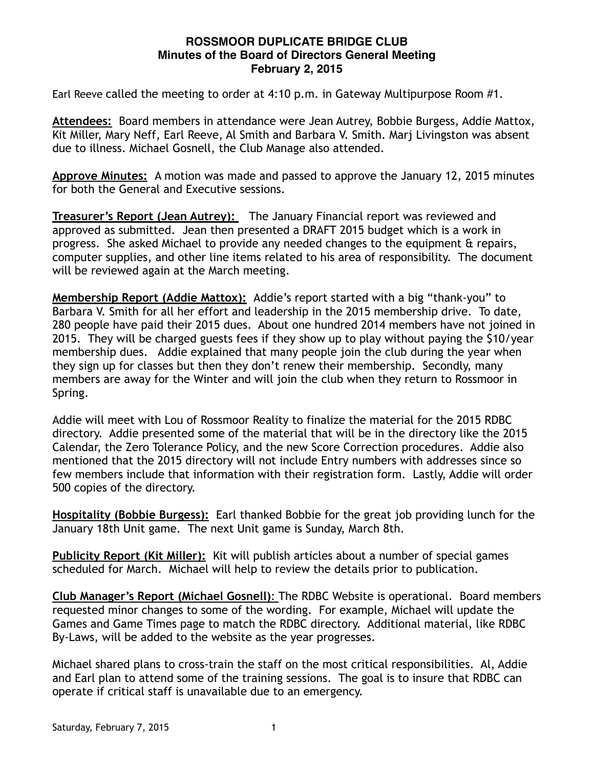## **ROSSMOOR DUPLICATE BRIDGE CLUB Minutes of the Board of Directors General Meeting February 2, 2015**

Earl Reeve called the meeting to order at 4:10 p.m. in Gateway Multipurpose Room #1.

**Attendees:** Board members in attendance were Jean Autrey, Bobbie Burgess, Addie Mattox, Kit Miller, Mary Neff, Earl Reeve, Al Smith and Barbara V. Smith. Marj Livingston was absent due to illness. Michael Gosnell, the Club Manage also attended.

**Approve Minutes:** A motion was made and passed to approve the January 12, 2015 minutes for both the General and Executive sessions.

**Treasurer's Report (Jean Autrey):** The January Financial report was reviewed and approved as submitted. Jean then presented a DRAFT 2015 budget which is a work in progress. She asked Michael to provide any needed changes to the equipment & repairs, computer supplies, and other line items related to his area of responsibility. The document will be reviewed again at the March meeting.

**Membership Report (Addie Mattox):** Addie's report started with a big "thank-you" to Barbara V. Smith for all her effort and leadership in the 2015 membership drive. To date, 280 people have paid their 2015 dues. About one hundred 2014 members have not joined in 2015. They will be charged guests fees if they show up to play without paying the \$10/year membership dues. Addie explained that many people join the club during the year when they sign up for classes but then they don't renew their membership. Secondly, many members are away for the Winter and will join the club when they return to Rossmoor in Spring.

Addie will meet with Lou of Rossmoor Reality to finalize the material for the 2015 RDBC directory. Addie presented some of the material that will be in the directory like the 2015 Calendar, the Zero Tolerance Policy, and the new Score Correction procedures. Addie also mentioned that the 2015 directory will not include Entry numbers with addresses since so few members include that information with their registration form. Lastly, Addie will order 500 copies of the directory.

**Hospitality (Bobbie Burgess):** Earl thanked Bobbie for the great job providing lunch for the January 18th Unit game. The next Unit game is Sunday, March 8th.

**Publicity Report (Kit Miller):** Kit will publish articles about a number of special games scheduled for March. Michael will help to review the details prior to publication.

**Club Manager's Report (Michael Gosnell)**: The RDBC Website is operational. Board members requested minor changes to some of the wording. For example, Michael will update the Games and Game Times page to match the RDBC directory. Additional material, like RDBC By-Laws, will be added to the website as the year progresses.

Michael shared plans to cross-train the staff on the most critical responsibilities. Al, Addie and Earl plan to attend some of the training sessions. The goal is to insure that RDBC can operate if critical staff is unavailable due to an emergency.